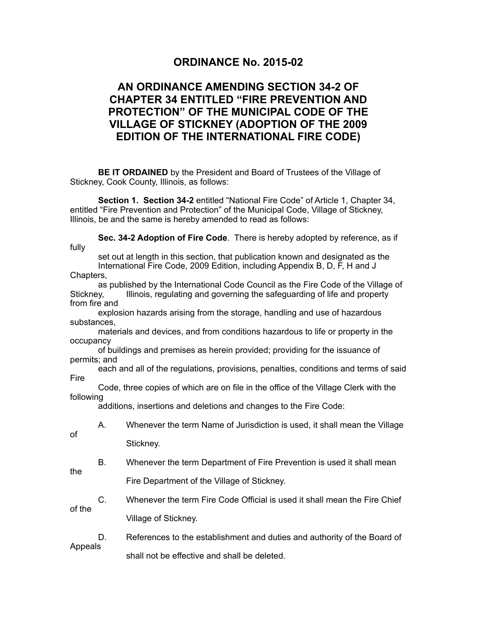## **ORDINANCE No. 2015-02**

## **AN ORDINANCE AMENDING SECTION 34-2 OF CHAPTER 34 ENTITLED "FIRE PREVENTION AND PROTECTION" OF THE MUNICIPAL CODE OF THE VILLAGE OF STICKNEY (ADOPTION OF THE 2009 EDITION OF THE INTERNATIONAL FIRE CODE)**

 **BE IT ORDAINED** by the President and Board of Trustees of the Village of Stickney, Cook County, Illinois, as follows:

**Section 1. Section 34-2** entitled "National Fire Code" of Article 1, Chapter 34, entitled "Fire Prevention and Protection" of the Municipal Code, Village of Stickney, Illinois, be and the same is hereby amended to read as follows:

**Sec. 34-2 Adoption of Fire Code**. There is hereby adopted by reference, as if fully

 set out at length in this section, that publication known and designated as the International Fire Code, 2009 Edition, including Appendix B, D, F, H and J

Chapters,

 as published by the International Code Council as the Fire Code of the Village of Stickney, Illinois, regulating and governing the safeguarding of life and property from fire and

 explosion hazards arising from the storage, handling and use of hazardous substances,

 materials and devices, and from conditions hazardous to life or property in the occupancy

 of buildings and premises as herein provided; providing for the issuance of permits; and

 each and all of the regulations, provisions, penalties, conditions and terms of said Fire

 Code, three copies of which are on file in the office of the Village Clerk with the following

additions, insertions and deletions and changes to the Fire Code:

of

A. Whenever the term Name of Jurisdiction is used, it shall mean the Village

Stickney.

- B. Whenever the term Department of Fire Prevention is used it shall mean the Fire Department of the Village of Stickney.
- C. Whenever the term Fire Code Official is used it shall mean the Fire Chief of the Village of Stickney.

 D. References to the establishment and duties and authority of the Board of Appeals shall not be effective and shall be deleted.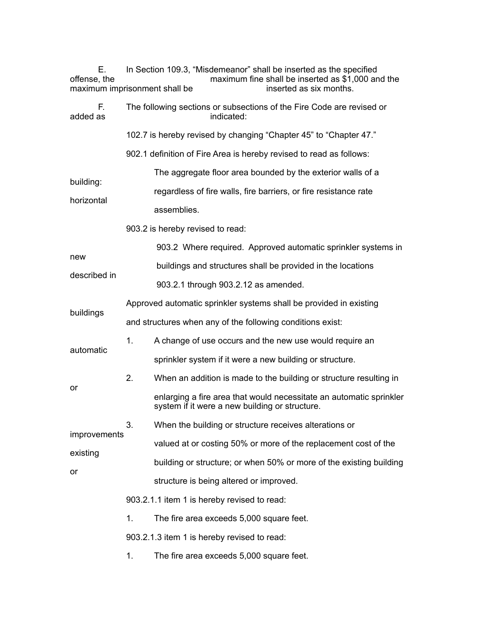| Е.<br>offense, the<br>maximum imprisonment shall be |                                                            | In Section 109.3, "Misdemeanor" shall be inserted as the specified<br>maximum fine shall be inserted as \$1,000 and the<br>inserted as six months. |  |  |  |
|-----------------------------------------------------|------------------------------------------------------------|----------------------------------------------------------------------------------------------------------------------------------------------------|--|--|--|
| F.<br>added as                                      |                                                            | The following sections or subsections of the Fire Code are revised or<br>indicated:                                                                |  |  |  |
|                                                     |                                                            | 102.7 is hereby revised by changing "Chapter 45" to "Chapter 47."                                                                                  |  |  |  |
|                                                     |                                                            | 902.1 definition of Fire Area is hereby revised to read as follows:                                                                                |  |  |  |
|                                                     |                                                            | The aggregate floor area bounded by the exterior walls of a                                                                                        |  |  |  |
| building:                                           |                                                            | regardless of fire walls, fire barriers, or fire resistance rate                                                                                   |  |  |  |
| horizontal                                          |                                                            | assemblies.                                                                                                                                        |  |  |  |
|                                                     |                                                            | 903.2 is hereby revised to read:                                                                                                                   |  |  |  |
|                                                     |                                                            | 903.2 Where required. Approved automatic sprinkler systems in                                                                                      |  |  |  |
| new                                                 |                                                            | buildings and structures shall be provided in the locations                                                                                        |  |  |  |
| described in                                        |                                                            | 903.2.1 through 903.2.12 as amended.                                                                                                               |  |  |  |
|                                                     |                                                            | Approved automatic sprinkler systems shall be provided in existing                                                                                 |  |  |  |
| buildings                                           | and structures when any of the following conditions exist: |                                                                                                                                                    |  |  |  |
| automatic                                           | 1.                                                         | A change of use occurs and the new use would require an                                                                                            |  |  |  |
|                                                     |                                                            | sprinkler system if it were a new building or structure.                                                                                           |  |  |  |
|                                                     | 2.                                                         | When an addition is made to the building or structure resulting in                                                                                 |  |  |  |
| or                                                  |                                                            | enlarging a fire area that would necessitate an automatic sprinkler<br>system if it were a new building or structure.                              |  |  |  |
| improvements<br>existing<br>or                      | 3.                                                         | When the building or structure receives alterations or                                                                                             |  |  |  |
|                                                     |                                                            | valued at or costing 50% or more of the replacement cost of the                                                                                    |  |  |  |
|                                                     |                                                            | building or structure; or when 50% or more of the existing building                                                                                |  |  |  |
|                                                     |                                                            | structure is being altered or improved.                                                                                                            |  |  |  |
|                                                     | 903.2.1.1 item 1 is hereby revised to read:                |                                                                                                                                                    |  |  |  |
|                                                     | 1.                                                         | The fire area exceeds 5,000 square feet.                                                                                                           |  |  |  |
|                                                     |                                                            | 903.2.1.3 item 1 is hereby revised to read:                                                                                                        |  |  |  |
|                                                     | 1.                                                         | The fire area exceeds 5,000 square feet.                                                                                                           |  |  |  |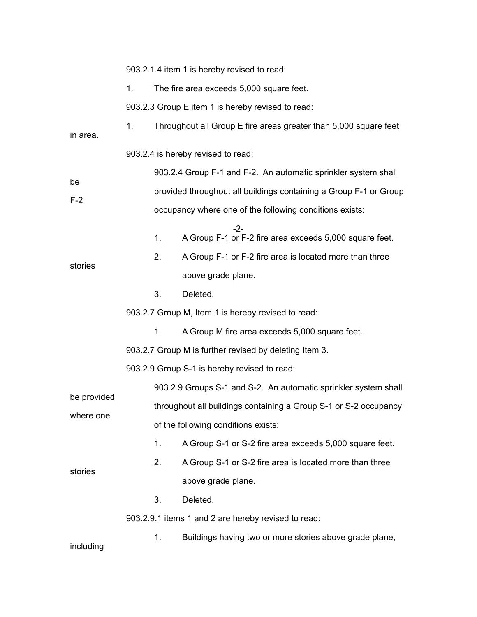|                          | 903.2.1.4 item 1 is hereby revised to read:                       |    |                                                                  |  |  |  |
|--------------------------|-------------------------------------------------------------------|----|------------------------------------------------------------------|--|--|--|
|                          | 1 <sub>1</sub><br>The fire area exceeds 5,000 square feet.        |    |                                                                  |  |  |  |
|                          | 903.2.3 Group E item 1 is hereby revised to read:                 |    |                                                                  |  |  |  |
| in area.                 | 1 <sub>1</sub>                                                    |    | Throughout all Group E fire areas greater than 5,000 square feet |  |  |  |
|                          | 903.2.4 is hereby revised to read:                                |    |                                                                  |  |  |  |
|                          | 903.2.4 Group F-1 and F-2. An automatic sprinkler system shall    |    |                                                                  |  |  |  |
| be                       | provided throughout all buildings containing a Group F-1 or Group |    |                                                                  |  |  |  |
| $F-2$                    |                                                                   |    | occupancy where one of the following conditions exists:          |  |  |  |
|                          |                                                                   | 1. | $-2-$<br>A Group F-1 or F-2 fire area exceeds 5,000 square feet. |  |  |  |
|                          |                                                                   | 2. | A Group F-1 or F-2 fire area is located more than three          |  |  |  |
| stories                  |                                                                   |    | above grade plane.                                               |  |  |  |
|                          |                                                                   | 3. | Deleted.                                                         |  |  |  |
|                          | 903.2.7 Group M, Item 1 is hereby revised to read:                |    |                                                                  |  |  |  |
|                          |                                                                   | 1. | A Group M fire area exceeds 5,000 square feet.                   |  |  |  |
|                          |                                                                   |    | 903.2.7 Group M is further revised by deleting Item 3.           |  |  |  |
|                          |                                                                   |    | 903.2.9 Group S-1 is hereby revised to read:                     |  |  |  |
| be provided<br>where one |                                                                   |    | 903.2.9 Groups S-1 and S-2. An automatic sprinkler system shall  |  |  |  |
|                          |                                                                   |    | throughout all buildings containing a Group S-1 or S-2 occupancy |  |  |  |
|                          |                                                                   |    | of the following conditions exists:                              |  |  |  |
| stories                  |                                                                   | 1. | A Group S-1 or S-2 fire area exceeds 5,000 square feet.          |  |  |  |
|                          |                                                                   | 2. | A Group S-1 or S-2 fire area is located more than three          |  |  |  |
|                          |                                                                   |    | above grade plane.                                               |  |  |  |
|                          |                                                                   | 3. | Deleted.                                                         |  |  |  |
|                          | 903.2.9.1 items 1 and 2 are hereby revised to read:               |    |                                                                  |  |  |  |
| including                |                                                                   | 1. | Buildings having two or more stories above grade plane,          |  |  |  |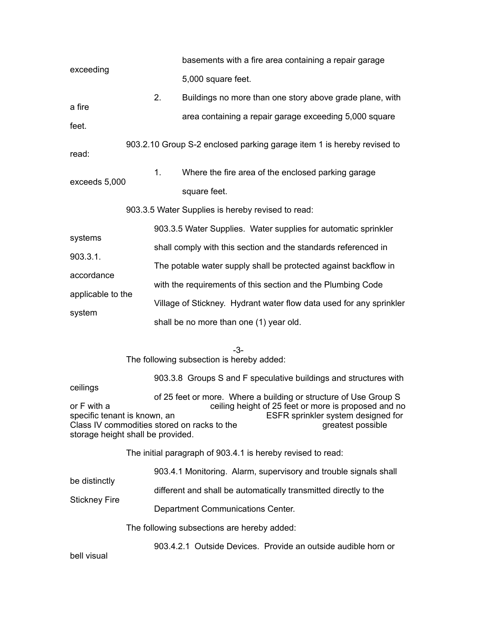|                                             |                                                                  |                                                                | basements with a fire area containing a repair garage                                                        |  |  |  |  |
|---------------------------------------------|------------------------------------------------------------------|----------------------------------------------------------------|--------------------------------------------------------------------------------------------------------------|--|--|--|--|
| exceeding                                   |                                                                  |                                                                | 5,000 square feet.                                                                                           |  |  |  |  |
|                                             |                                                                  | 2.                                                             | Buildings no more than one story above grade plane, with                                                     |  |  |  |  |
| a fire<br>feet.                             |                                                                  |                                                                | area containing a repair garage exceeding 5,000 square                                                       |  |  |  |  |
|                                             |                                                                  |                                                                |                                                                                                              |  |  |  |  |
| read:                                       |                                                                  |                                                                | 903.2.10 Group S-2 enclosed parking garage item 1 is hereby revised to                                       |  |  |  |  |
| exceeds 5,000                               |                                                                  | 1 <sub>1</sub>                                                 | Where the fire area of the enclosed parking garage                                                           |  |  |  |  |
|                                             |                                                                  |                                                                | square feet.                                                                                                 |  |  |  |  |
|                                             |                                                                  |                                                                | 903.3.5 Water Supplies is hereby revised to read:                                                            |  |  |  |  |
|                                             |                                                                  |                                                                | 903.3.5 Water Supplies. Water supplies for automatic sprinkler                                               |  |  |  |  |
| systems                                     |                                                                  | shall comply with this section and the standards referenced in |                                                                                                              |  |  |  |  |
| 903.3.1.                                    |                                                                  |                                                                | The potable water supply shall be protected against backflow in                                              |  |  |  |  |
| accordance                                  |                                                                  |                                                                | with the requirements of this section and the Plumbing Code                                                  |  |  |  |  |
| applicable to the                           |                                                                  |                                                                | Village of Stickney. Hydrant water flow data used for any sprinkler                                          |  |  |  |  |
| system                                      |                                                                  |                                                                | shall be no more than one (1) year old.                                                                      |  |  |  |  |
|                                             |                                                                  |                                                                |                                                                                                              |  |  |  |  |
|                                             |                                                                  |                                                                | -3-<br>The following subsection is hereby added:                                                             |  |  |  |  |
|                                             | 903.3.8 Groups S and F speculative buildings and structures with |                                                                |                                                                                                              |  |  |  |  |
| ceilings                                    |                                                                  |                                                                | of 25 feet or more. Where a building or structure of Use Group S                                             |  |  |  |  |
| or F with a<br>specific tenant is known, an |                                                                  |                                                                | ceiling height of 25 feet or more is proposed and no<br>ESFR sprinkler system designed for                   |  |  |  |  |
| storage height shall be provided.           |                                                                  |                                                                | Class IV commodities stored on racks to the<br>greatest possible                                             |  |  |  |  |
|                                             |                                                                  |                                                                | The initial paragraph of 903.4.1 is hereby revised to read:                                                  |  |  |  |  |
|                                             | 903.4.1 Monitoring. Alarm, supervisory and trouble signals shall |                                                                |                                                                                                              |  |  |  |  |
| be distinctly<br><b>Stickney Fire</b>       |                                                                  |                                                                | different and shall be automatically transmitted directly to the                                             |  |  |  |  |
|                                             |                                                                  |                                                                |                                                                                                              |  |  |  |  |
|                                             |                                                                  |                                                                |                                                                                                              |  |  |  |  |
|                                             |                                                                  |                                                                | Department Communications Center.                                                                            |  |  |  |  |
|                                             |                                                                  |                                                                | The following subsections are hereby added:<br>903.4.2.1 Outside Devices. Provide an outside audible horn or |  |  |  |  |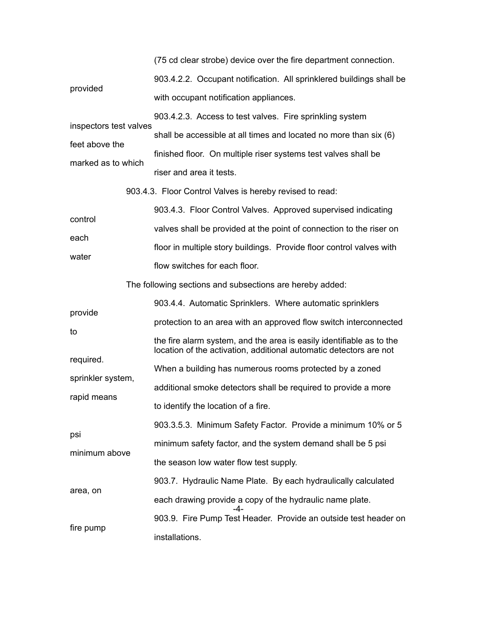(75 cd clear strobe) device over the fire department connection.

| provided                         | 903.4.2.2. Occupant notification. All sprinklered buildings shall be                                                                       |
|----------------------------------|--------------------------------------------------------------------------------------------------------------------------------------------|
|                                  | with occupant notification appliances.                                                                                                     |
| inspectors test valves           | 903.4.2.3. Access to test valves. Fire sprinkling system                                                                                   |
| feet above the                   | shall be accessible at all times and located no more than six (6)                                                                          |
| marked as to which               | finished floor. On multiple riser systems test valves shall be                                                                             |
|                                  | riser and area it tests.                                                                                                                   |
|                                  | 903.4.3. Floor Control Valves is hereby revised to read:                                                                                   |
| control                          | 903.4.3. Floor Control Valves. Approved supervised indicating                                                                              |
| each                             | valves shall be provided at the point of connection to the riser on                                                                        |
| water                            | floor in multiple story buildings. Provide floor control valves with                                                                       |
|                                  | flow switches for each floor.                                                                                                              |
|                                  | The following sections and subsections are hereby added:                                                                                   |
| provide                          | 903.4.4. Automatic Sprinklers. Where automatic sprinklers                                                                                  |
|                                  | protection to an area with an approved flow switch interconnected                                                                          |
| to                               | the fire alarm system, and the area is easily identifiable as to the<br>location of the activation, additional automatic detectors are not |
| required.                        | When a building has numerous rooms protected by a zoned                                                                                    |
| sprinkler system,<br>rapid means | additional smoke detectors shall be required to provide a more                                                                             |
|                                  | to identify the location of a fire.                                                                                                        |
|                                  | 903.3.5.3. Minimum Safety Factor. Provide a minimum 10% or 5                                                                               |
| psi                              | minimum safety factor, and the system demand shall be 5 psi                                                                                |
| minimum above                    | the season low water flow test supply.                                                                                                     |
|                                  | 903.7. Hydraulic Name Plate. By each hydraulically calculated                                                                              |
| area, on                         | each drawing provide a copy of the hydraulic name plate.                                                                                   |
|                                  | -4-<br>903.9. Fire Pump Test Header. Provide an outside test header on                                                                     |
| fire pump                        | installations.                                                                                                                             |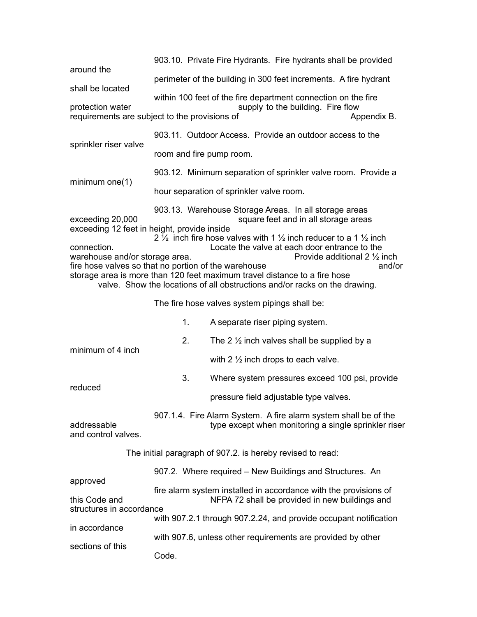903.10. Private Fire Hydrants. Fire hydrants shall be provided around the perimeter of the building in 300 feet increments. A fire hydrant shall be located within 100 feet of the fire department connection on the fire protection water supply to the building. Fire flow requirements are subject to the provisions of Terminosium Appendix B. 903.11. Outdoor Access. Provide an outdoor access to the sprinkler riser valve room and fire pump room. 903.12. Minimum separation of sprinkler valve room. Provide a minimum one(1) hour separation of sprinkler valve room. 903.13. Warehouse Storage Areas. In all storage areas<br>square feet and in all storage areas square feet and in all storage areas exceeding 12 feet in height, provide inside 2  $\frac{1}{2}$  inch fire hose valves with 1  $\frac{1}{2}$  inch reducer to a 1  $\frac{1}{2}$  inch connection.<br>warehouse and/or storage area.<br>Provide additional 2 1/2 inch warehouse and/or storage area. fire hose valves so that no portion of the warehouse and/or storage area is more than 120 feet maximum travel distance to a fire hose valve. Show the locations of all obstructions and/or racks on the drawing. The fire hose valves system pipings shall be: 1. A separate riser piping system. 2. The 2  $\frac{1}{2}$  inch valves shall be supplied by a minimum of 4 inch with 2 ½ inch drops to each valve. 3. Where system pressures exceed 100 psi, provide reduced pressure field adjustable type valves. 907.1.4. Fire Alarm System. A fire alarm system shall be of the<br>type except when monitoring a single sprinkler ris type except when monitoring a single sprinkler riser and control valves. The initial paragraph of 907.2. is hereby revised to read: 907.2. Where required – New Buildings and Structures. An approved fire alarm system installed in accordance with the provisions of this Code and NFPA 72 shall be provided in new buildings and structures in accordance with 907.2.1 through 907.2.24, and provide occupant notification in accordance with 907.6, unless other requirements are provided by other sections of this Code.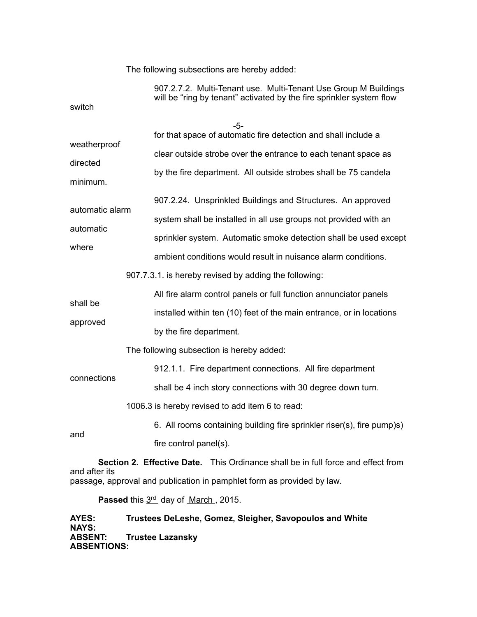The following subsections are hereby added:

| switch                                                                                | 907.2.7.2. Multi-Tenant use. Multi-Tenant Use Group M Buildings<br>will be "ring by tenant" activated by the fire sprinkler system flow |  |  |  |  |
|---------------------------------------------------------------------------------------|-----------------------------------------------------------------------------------------------------------------------------------------|--|--|--|--|
|                                                                                       |                                                                                                                                         |  |  |  |  |
|                                                                                       | $-5-$<br>for that space of automatic fire detection and shall include a                                                                 |  |  |  |  |
| weatherproof<br>directed<br>minimum.                                                  | clear outside strobe over the entrance to each tenant space as                                                                          |  |  |  |  |
|                                                                                       | by the fire department. All outside strobes shall be 75 candela                                                                         |  |  |  |  |
|                                                                                       | 907.2.24. Unsprinkled Buildings and Structures. An approved                                                                             |  |  |  |  |
| automatic alarm                                                                       | system shall be installed in all use groups not provided with an                                                                        |  |  |  |  |
| automatic                                                                             | sprinkler system. Automatic smoke detection shall be used except                                                                        |  |  |  |  |
| where                                                                                 | ambient conditions would result in nuisance alarm conditions.                                                                           |  |  |  |  |
|                                                                                       | 907.7.3.1. is hereby revised by adding the following:                                                                                   |  |  |  |  |
| shall be                                                                              | All fire alarm control panels or full function annunciator panels                                                                       |  |  |  |  |
| approved                                                                              | installed within ten (10) feet of the main entrance, or in locations                                                                    |  |  |  |  |
|                                                                                       | by the fire department.                                                                                                                 |  |  |  |  |
|                                                                                       | The following subsection is hereby added:                                                                                               |  |  |  |  |
| connections                                                                           | 912.1.1. Fire department connections. All fire department                                                                               |  |  |  |  |
|                                                                                       | shall be 4 inch story connections with 30 degree down turn.                                                                             |  |  |  |  |
|                                                                                       | 1006.3 is hereby revised to add item 6 to read:                                                                                         |  |  |  |  |
| and                                                                                   | 6. All rooms containing building fire sprinkler riser(s), fire pump)s)                                                                  |  |  |  |  |
|                                                                                       | fire control panel(s).                                                                                                                  |  |  |  |  |
| <b>Section 2 Effective Date</b> This Ordinance shall be in full force and effect from |                                                                                                                                         |  |  |  |  |

**Section 2. Effective Date.** This Ordinance shall be in full force and effect from and after its passage, approval and publication in pamphlet form as provided by law.

Passed this 3rd day of March, 2015.

**AYES: Trustees DeLeshe, Gomez, Sleigher, Savopoulos and White NAYS: Trustee Lazansky ABSENTIONS:**